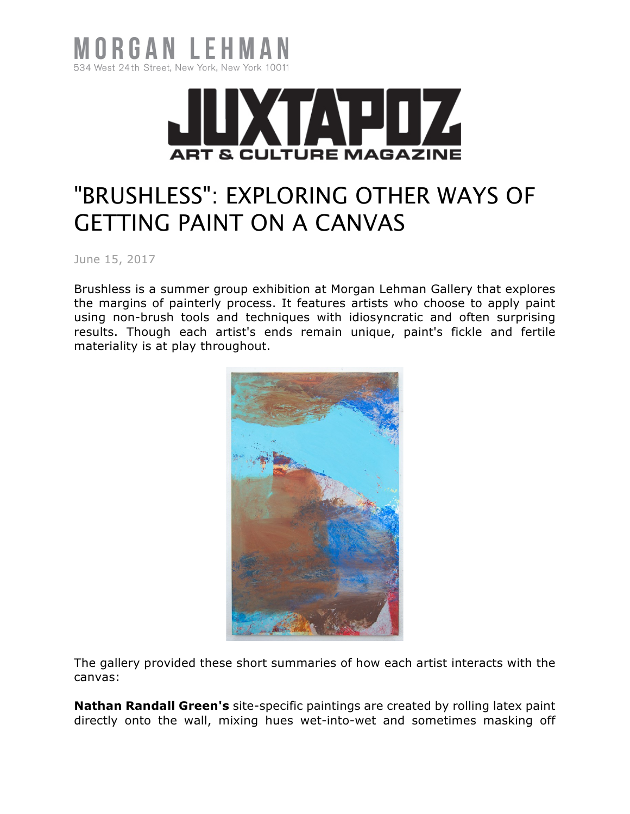



## "BRUSHLESS": EXPLORING OTHER WAYS OF GETTING PAINT ON A CANVAS

June 15, 2017

Brushless is a summer group exhibition at Morgan Lehman Gallery that explores the margins of painterly process. It features artists who choose to apply paint using non-brush tools and techniques with idiosyncratic and often surprising results. Though each artist's ends remain unique, paint's fickle and fertile materiality is at play throughout.



The gallery provided these short summaries of how each artist interacts with the canvas:

**Nathan Randall Green's** site-specific paintings are created by rolling latex paint directly onto the wall, mixing hues wet-into-wet and sometimes masking off